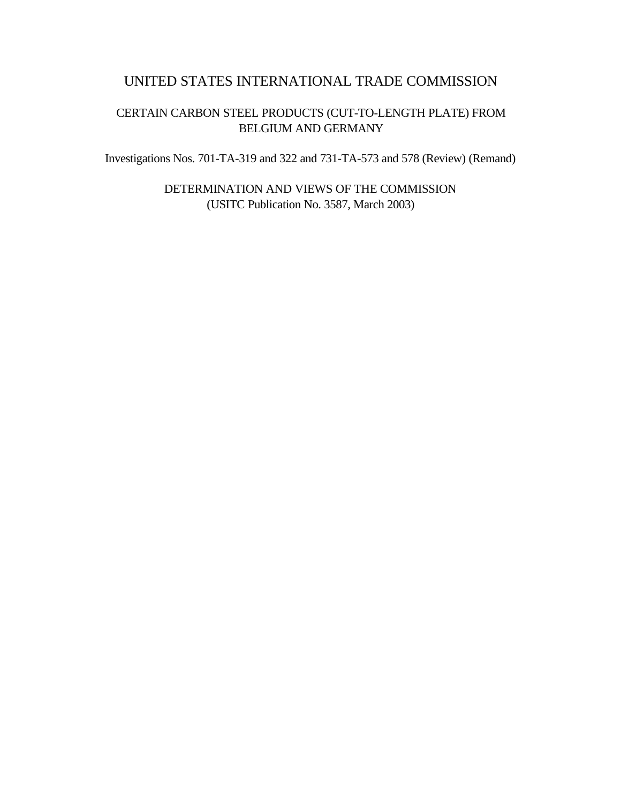# UNITED STATES INTERNATIONAL TRADE COMMISSION

# CERTAIN CARBON STEEL PRODUCTS (CUT-TO-LENGTH PLATE) FROM BELGIUM AND GERMANY

Investigations Nos. 701-TA-319 and 322 and 731-TA-573 and 578 (Review) (Remand)

DETERMINATION AND VIEWS OF THE COMMISSION (USITC Publication No. 3587, March 2003)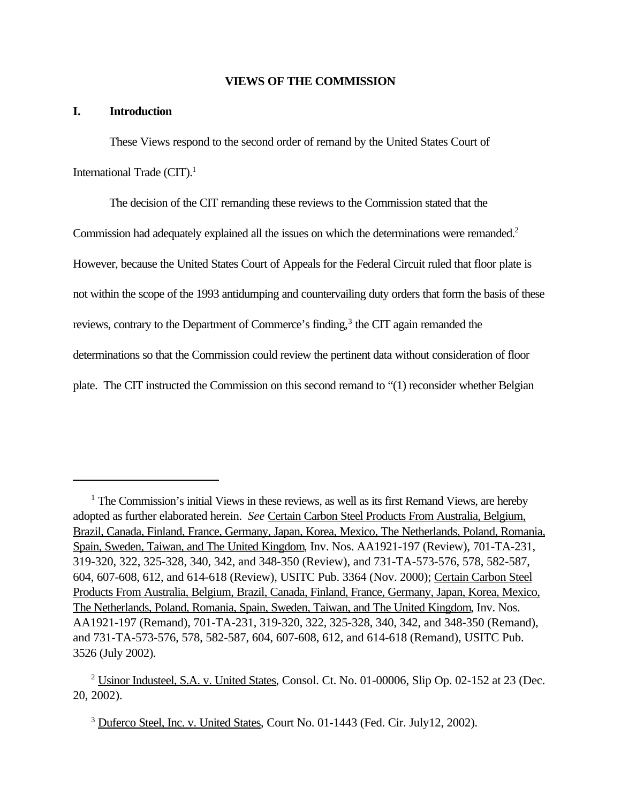# **VIEWS OF THE COMMISSION**

# **I. Introduction**

These Views respond to the second order of remand by the United States Court of International Trade  $(CIT)$ <sup>1</sup>

The decision of the CIT remanding these reviews to the Commission stated that the Commission had adequately explained all the issues on which the determinations were remanded.<sup>2</sup> However, because the United States Court of Appeals for the Federal Circuit ruled that floor plate is not within the scope of the 1993 antidumping and countervailing duty orders that form the basis of these reviews, contrary to the Department of Commerce's finding,<sup>3</sup> the CIT again remanded the determinations so that the Commission could review the pertinent data without consideration of floor plate. The CIT instructed the Commission on this second remand to "(1) reconsider whether Belgian

<sup>3</sup> Duferco Steel, Inc. v. United States, Court No. 01-1443 (Fed. Cir. July12, 2002).

<sup>&</sup>lt;sup>1</sup> The Commission's initial Views in these reviews, as well as its first Remand Views, are hereby adopted as further elaborated herein. *See* Certain Carbon Steel Products From Australia, Belgium, Brazil, Canada, Finland, France, Germany, Japan, Korea, Mexico, The Netherlands, Poland, Romania, Spain, Sweden, Taiwan, and The United Kingdom, Inv. Nos. AA1921-197 (Review), 701-TA-231, 319-320, 322, 325-328, 340, 342, and 348-350 (Review), and 731-TA-573-576, 578, 582-587, 604, 607-608, 612, and 614-618 (Review), USITC Pub. 3364 (Nov. 2000); Certain Carbon Steel Products From Australia, Belgium, Brazil, Canada, Finland, France, Germany, Japan, Korea, Mexico, The Netherlands, Poland, Romania, Spain, Sweden, Taiwan, and The United Kingdom, Inv. Nos. AA1921-197 (Remand), 701-TA-231, 319-320, 322, 325-328, 340, 342, and 348-350 (Remand), and 731-TA-573-576, 578, 582-587, 604, 607-608, 612, and 614-618 (Remand), USITC Pub. 3526 (July 2002).

<sup>&</sup>lt;sup>2</sup> Usinor Industeel, S.A. v. United States, Consol. Ct. No. 01-00006, Slip Op. 02-152 at 23 (Dec. 20, 2002).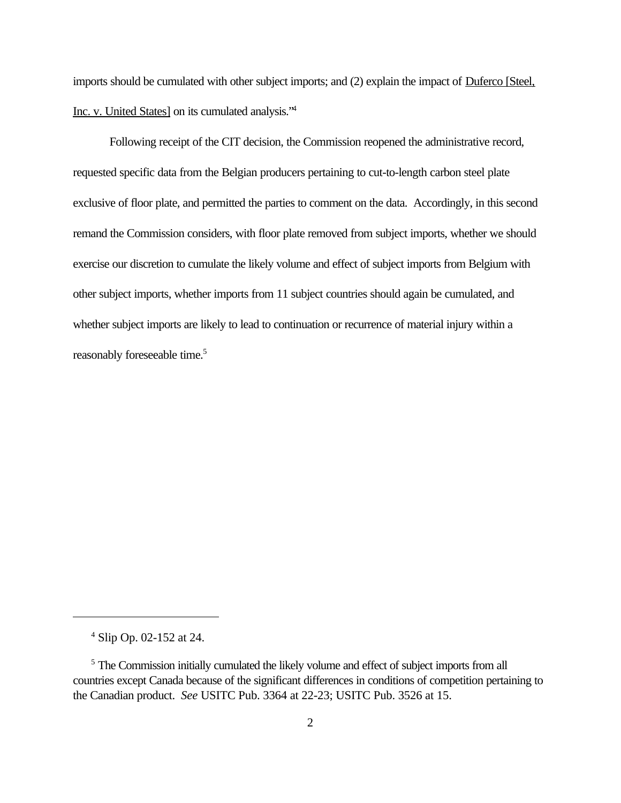imports should be cumulated with other subject imports; and (2) explain the impact of Duferco [Steel, Inc. v. United States] on its cumulated analysis."<sup>4</sup>

Following receipt of the CIT decision, the Commission reopened the administrative record, requested specific data from the Belgian producers pertaining to cut-to-length carbon steel plate exclusive of floor plate, and permitted the parties to comment on the data. Accordingly, in this second remand the Commission considers, with floor plate removed from subject imports, whether we should exercise our discretion to cumulate the likely volume and effect of subject imports from Belgium with other subject imports, whether imports from 11 subject countries should again be cumulated, and whether subject imports are likely to lead to continuation or recurrence of material injury within a reasonably foreseeable time.<sup>5</sup>

<sup>4</sup> Slip Op. 02-152 at 24.

<sup>&</sup>lt;sup>5</sup> The Commission initially cumulated the likely volume and effect of subject imports from all countries except Canada because of the significant differences in conditions of competition pertaining to the Canadian product. *See* USITC Pub. 3364 at 22-23; USITC Pub. 3526 at 15.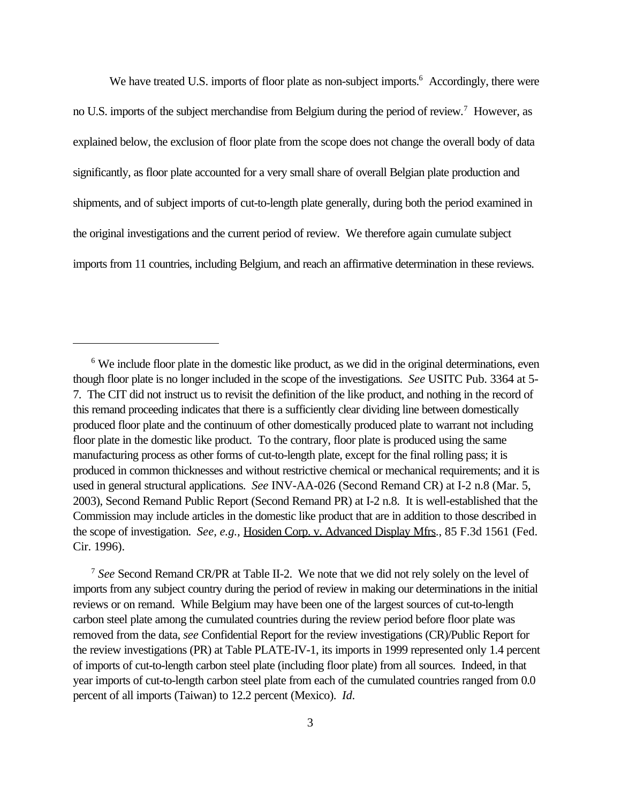We have treated U.S. imports of floor plate as non-subject imports.<sup>6</sup> Accordingly, there were no U.S. imports of the subject merchandise from Belgium during the period of review.<sup>7</sup> However, as explained below, the exclusion of floor plate from the scope does not change the overall body of data significantly, as floor plate accounted for a very small share of overall Belgian plate production and shipments, and of subject imports of cut-to-length plate generally, during both the period examined in the original investigations and the current period of review. We therefore again cumulate subject imports from 11 countries, including Belgium, and reach an affirmative determination in these reviews.

<sup>7</sup> *See* Second Remand CR/PR at Table II-2. We note that we did not rely solely on the level of imports from any subject country during the period of review in making our determinations in the initial reviews or on remand. While Belgium may have been one of the largest sources of cut-to-length carbon steel plate among the cumulated countries during the review period before floor plate was removed from the data, *see* Confidential Report for the review investigations (CR)/Public Report for the review investigations (PR) at Table PLATE-IV-1, its imports in 1999 represented only 1.4 percent of imports of cut-to-length carbon steel plate (including floor plate) from all sources. Indeed, in that year imports of cut-to-length carbon steel plate from each of the cumulated countries ranged from 0.0 percent of all imports (Taiwan) to 12.2 percent (Mexico). *Id*.

<sup>&</sup>lt;sup>6</sup> We include floor plate in the domestic like product, as we did in the original determinations, even though floor plate is no longer included in the scope of the investigations. *See* USITC Pub. 3364 at 5- 7. The CIT did not instruct us to revisit the definition of the like product, and nothing in the record of this remand proceeding indicates that there is a sufficiently clear dividing line between domestically produced floor plate and the continuum of other domestically produced plate to warrant not including floor plate in the domestic like product. To the contrary, floor plate is produced using the same manufacturing process as other forms of cut-to-length plate, except for the final rolling pass; it is produced in common thicknesses and without restrictive chemical or mechanical requirements; and it is used in general structural applications. *See* INV-AA-026 (Second Remand CR) at I-2 n.8 (Mar. 5, 2003), Second Remand Public Report (Second Remand PR) at I-2 n.8. It is well-established that the Commission may include articles in the domestic like product that are in addition to those described in the scope of investigation. *See, e.g.,* Hosiden Corp. v. Advanced Display Mfrs., 85 F.3d 1561 (Fed. Cir. 1996).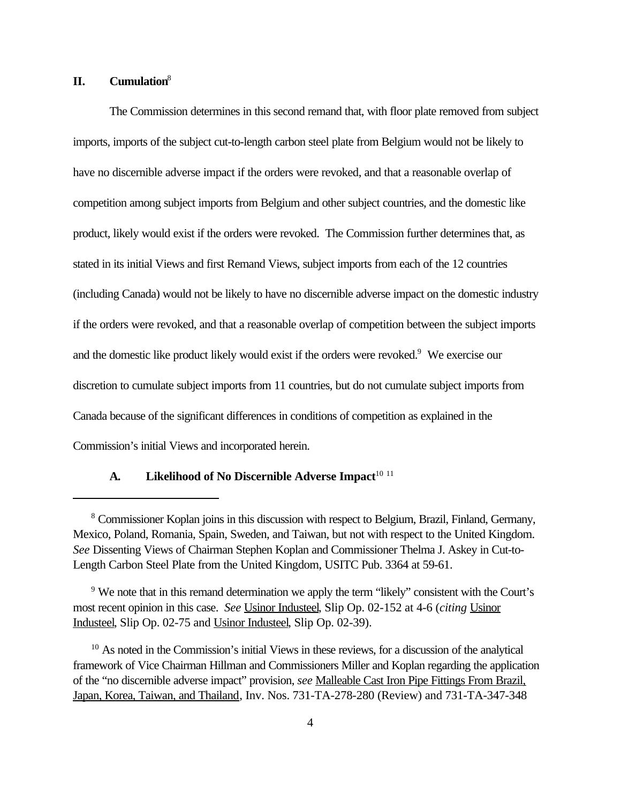# **II. Cumulation**<sup>8</sup>

The Commission determines in this second remand that, with floor plate removed from subject imports, imports of the subject cut-to-length carbon steel plate from Belgium would not be likely to have no discernible adverse impact if the orders were revoked, and that a reasonable overlap of competition among subject imports from Belgium and other subject countries, and the domestic like product, likely would exist if the orders were revoked. The Commission further determines that, as stated in its initial Views and first Remand Views, subject imports from each of the 12 countries (including Canada) would not be likely to have no discernible adverse impact on the domestic industry if the orders were revoked, and that a reasonable overlap of competition between the subject imports and the domestic like product likely would exist if the orders were revoked.<sup>9</sup> We exercise our discretion to cumulate subject imports from 11 countries, but do not cumulate subject imports from Canada because of the significant differences in conditions of competition as explained in the Commission's initial Views and incorporated herein.

# A. **Likelihood of No Discernible Adverse Impact**<sup>10 11</sup>

<sup>&</sup>lt;sup>8</sup> Commissioner Koplan joins in this discussion with respect to Belgium, Brazil, Finland, Germany, Mexico, Poland, Romania, Spain, Sweden, and Taiwan, but not with respect to the United Kingdom. *See* Dissenting Views of Chairman Stephen Koplan and Commissioner Thelma J. Askey in Cut-to-Length Carbon Steel Plate from the United Kingdom, USITC Pub. 3364 at 59-61.

<sup>&</sup>lt;sup>9</sup> We note that in this remand determination we apply the term "likely" consistent with the Court's most recent opinion in this case. *See* Usinor Industeel, Slip Op. 02-152 at 4-6 (*citing* Usinor Industeel, Slip Op. 02-75 and Usinor Industeel, Slip Op. 02-39).

 $10$  As noted in the Commission's initial Views in these reviews, for a discussion of the analytical framework of Vice Chairman Hillman and Commissioners Miller and Koplan regarding the application of the "no discernible adverse impact" provision, *see* Malleable Cast Iron Pipe Fittings From Brazil, Japan, Korea, Taiwan, and Thailand, Inv. Nos. 731-TA-278-280 (Review) and 731-TA-347-348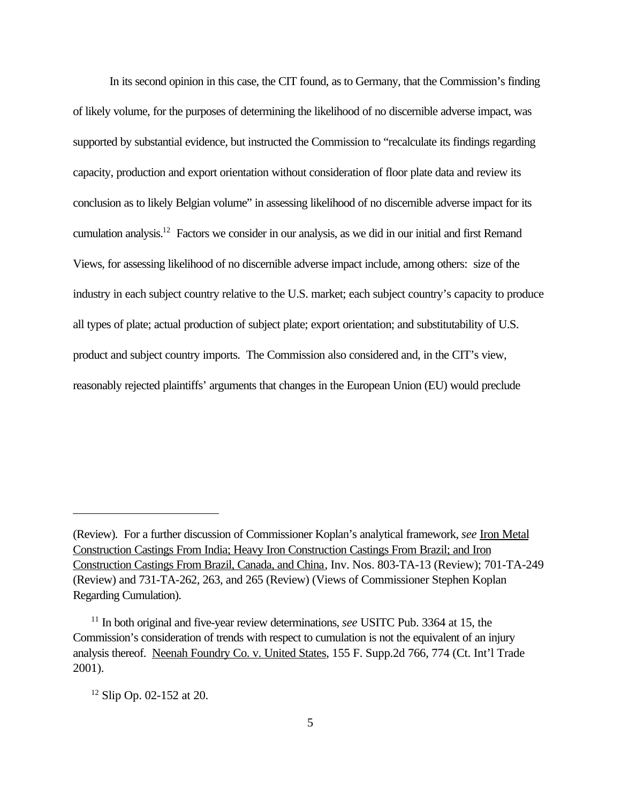In its second opinion in this case, the CIT found, as to Germany, that the Commission's finding of likely volume, for the purposes of determining the likelihood of no discernible adverse impact, was supported by substantial evidence, but instructed the Commission to "recalculate its findings regarding capacity, production and export orientation without consideration of floor plate data and review its conclusion as to likely Belgian volume" in assessing likelihood of no discernible adverse impact for its cumulation analysis.<sup>12</sup> Factors we consider in our analysis, as we did in our initial and first Remand Views, for assessing likelihood of no discernible adverse impact include, among others: size of the industry in each subject country relative to the U.S. market; each subject country's capacity to produce all types of plate; actual production of subject plate; export orientation; and substitutability of U.S. product and subject country imports. The Commission also considered and, in the CIT's view, reasonably rejected plaintiffs' arguments that changes in the European Union (EU) would preclude

 $12$  Slip Op. 02-152 at 20.

<sup>(</sup>Review). For a further discussion of Commissioner Koplan's analytical framework, *see* Iron Metal Construction Castings From India; Heavy Iron Construction Castings From Brazil; and Iron Construction Castings From Brazil, Canada, and China, Inv. Nos. 803-TA-13 (Review); 701-TA-249 (Review) and 731-TA-262, 263, and 265 (Review) (Views of Commissioner Stephen Koplan Regarding Cumulation).

<sup>11</sup> In both original and five-year review determinations, *see* USITC Pub. 3364 at 15, the Commission's consideration of trends with respect to cumulation is not the equivalent of an injury analysis thereof. Neenah Foundry Co. v. United States, 155 F. Supp.2d 766, 774 (Ct. Int'l Trade 2001).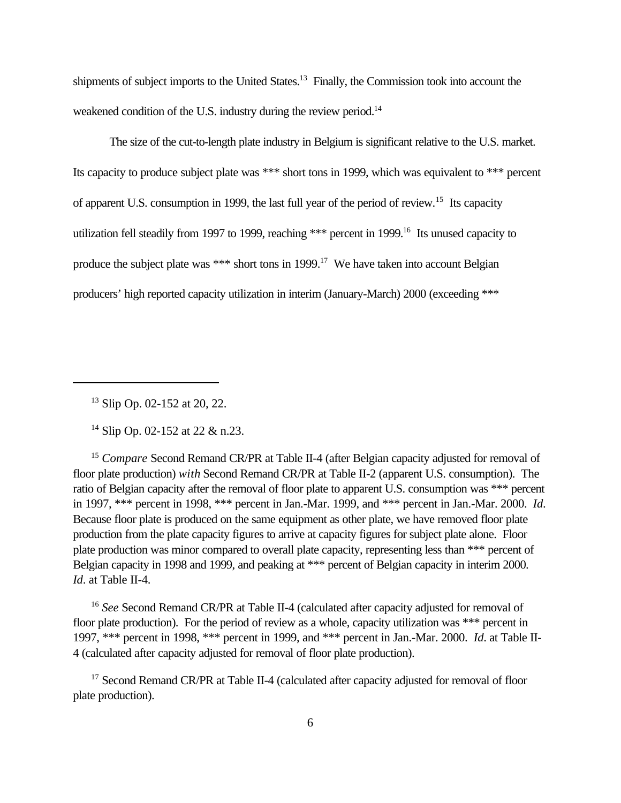shipments of subject imports to the United States.<sup>13</sup> Finally, the Commission took into account the weakened condition of the U.S. industry during the review period.<sup>14</sup>

The size of the cut-to-length plate industry in Belgium is significant relative to the U.S. market. Its capacity to produce subject plate was \*\*\* short tons in 1999, which was equivalent to \*\*\* percent of apparent U.S. consumption in 1999, the last full year of the period of review.<sup>15</sup> Its capacity utilization fell steadily from 1997 to 1999, reaching \*\*\* percent in 1999.<sup>16</sup> Its unused capacity to produce the subject plate was \*\*\* short tons in 1999.<sup>17</sup> We have taken into account Belgian producers' high reported capacity utilization in interim (January-March) 2000 (exceeding \*\*\*

<sup>13</sup> Slip Op. 02-152 at 20, 22.

<sup>14</sup> Slip Op. 02-152 at 22 & n.23.

<sup>15</sup> *Compare* Second Remand CR/PR at Table II-4 (after Belgian capacity adjusted for removal of floor plate production) *with* Second Remand CR/PR at Table II-2 (apparent U.S. consumption). The ratio of Belgian capacity after the removal of floor plate to apparent U.S. consumption was \*\*\* percent in 1997, \*\*\* percent in 1998, \*\*\* percent in Jan.-Mar. 1999, and \*\*\* percent in Jan.-Mar. 2000. *Id*. Because floor plate is produced on the same equipment as other plate, we have removed floor plate production from the plate capacity figures to arrive at capacity figures for subject plate alone. Floor plate production was minor compared to overall plate capacity, representing less than \*\*\* percent of Belgian capacity in 1998 and 1999, and peaking at \*\*\* percent of Belgian capacity in interim 2000. *Id*. at Table II-4.

<sup>16</sup> *See* Second Remand CR/PR at Table II-4 (calculated after capacity adjusted for removal of floor plate production). For the period of review as a whole, capacity utilization was \*\*\* percent in 1997, \*\*\* percent in 1998, \*\*\* percent in 1999, and \*\*\* percent in Jan.-Mar. 2000. *Id*. at Table II-4 (calculated after capacity adjusted for removal of floor plate production).

<sup>17</sup> Second Remand CR/PR at Table II-4 (calculated after capacity adjusted for removal of floor plate production).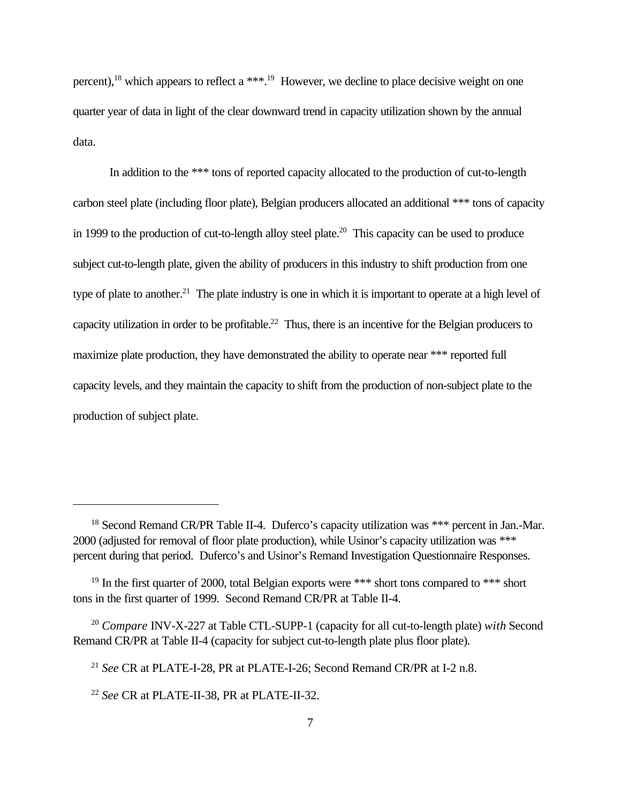percent),<sup>18</sup> which appears to reflect a \*\*\*.<sup>19</sup> However, we decline to place decisive weight on one quarter year of data in light of the clear downward trend in capacity utilization shown by the annual data.

In addition to the \*\*\* tons of reported capacity allocated to the production of cut-to-length carbon steel plate (including floor plate), Belgian producers allocated an additional \*\*\* tons of capacity in 1999 to the production of cut-to-length alloy steel plate.<sup>20</sup> This capacity can be used to produce subject cut-to-length plate, given the ability of producers in this industry to shift production from one type of plate to another.<sup>21</sup> The plate industry is one in which it is important to operate at a high level of capacity utilization in order to be profitable.<sup>22</sup> Thus, there is an incentive for the Belgian producers to maximize plate production, they have demonstrated the ability to operate near \*\*\* reported full capacity levels, and they maintain the capacity to shift from the production of non-subject plate to the production of subject plate.

<sup>&</sup>lt;sup>18</sup> Second Remand CR/PR Table II-4. Duferco's capacity utilization was \*\*\* percent in Jan.-Mar. 2000 (adjusted for removal of floor plate production), while Usinor's capacity utilization was \*\*\* percent during that period. Duferco's and Usinor's Remand Investigation Questionnaire Responses.

<sup>&</sup>lt;sup>19</sup> In the first quarter of 2000, total Belgian exports were \*\*\* short tons compared to \*\*\* short tons in the first quarter of 1999. Second Remand CR/PR at Table II-4.

<sup>20</sup> *Compare* INV-X-227 at Table CTL-SUPP-1 (capacity for all cut-to-length plate) *with* Second Remand CR/PR at Table II-4 (capacity for subject cut-to-length plate plus floor plate).

<sup>21</sup> *See* CR at PLATE-I-28, PR at PLATE-I-26; Second Remand CR/PR at I-2 n.8.

<sup>22</sup> *See* CR at PLATE-II-38, PR at PLATE-II-32.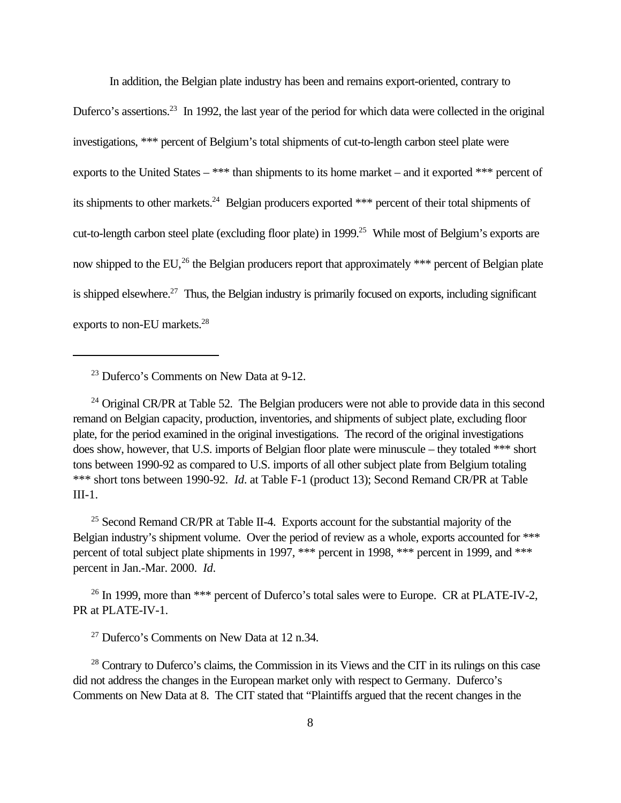In addition, the Belgian plate industry has been and remains export-oriented, contrary to

Duferco's assertions.<sup>23</sup> In 1992, the last year of the period for which data were collected in the original investigations, \*\*\* percent of Belgium's total shipments of cut-to-length carbon steel plate were exports to the United States – \*\*\* than shipments to its home market – and it exported \*\*\* percent of its shipments to other markets.<sup>24</sup> Belgian producers exported \*\*\* percent of their total shipments of cut-to-length carbon steel plate (excluding floor plate) in 1999.<sup>25</sup> While most of Belgium's exports are now shipped to the EU,<sup>26</sup> the Belgian producers report that approximately \*\*\* percent of Belgian plate is shipped elsewhere.<sup>27</sup> Thus, the Belgian industry is primarily focused on exports, including significant exports to non-EU markets.<sup>28</sup>

<sup>23</sup> Duferco's Comments on New Data at 9-12.

 $24$  Original CR/PR at Table 52. The Belgian producers were not able to provide data in this second remand on Belgian capacity, production, inventories, and shipments of subject plate, excluding floor plate, for the period examined in the original investigations. The record of the original investigations does show, however, that U.S. imports of Belgian floor plate were minuscule – they totaled \*\*\* short tons between 1990-92 as compared to U.S. imports of all other subject plate from Belgium totaling \*\*\* short tons between 1990-92. *Id*. at Table F-1 (product 13); Second Remand CR/PR at Table III-1.

 $25$  Second Remand CR/PR at Table II-4. Exports account for the substantial majority of the Belgian industry's shipment volume. Over the period of review as a whole, exports accounted for \*\*\* percent of total subject plate shipments in 1997, \*\*\* percent in 1998, \*\*\* percent in 1999, and \*\*\* percent in Jan.-Mar. 2000. *Id*.

<sup>26</sup> In 1999, more than \*\*\* percent of Duferco's total sales were to Europe. CR at PLATE-IV-2, PR at PLATE-IV-1.

<sup>27</sup> Duferco's Comments on New Data at 12 n.34.

<sup>28</sup> Contrary to Duferco's claims, the Commission in its Views and the CIT in its rulings on this case did not address the changes in the European market only with respect to Germany. Duferco's Comments on New Data at 8. The CIT stated that "Plaintiffs argued that the recent changes in the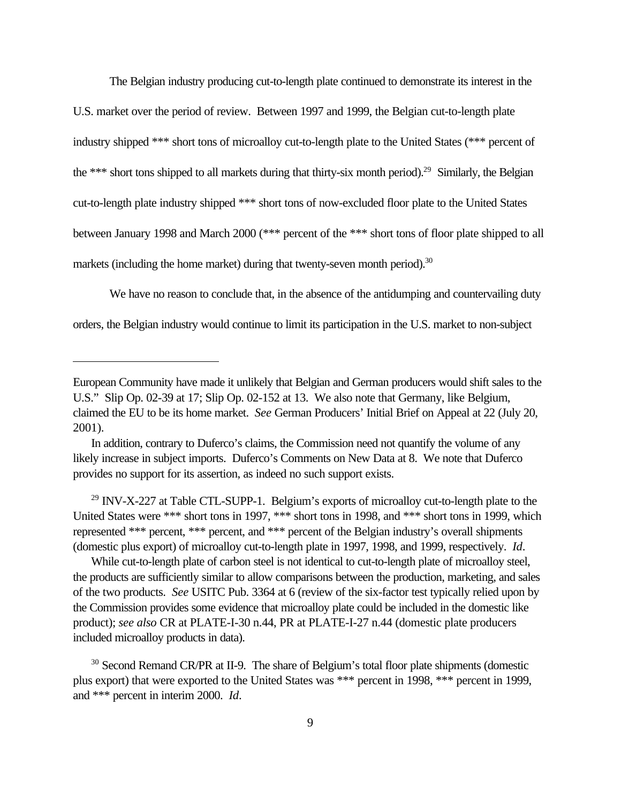The Belgian industry producing cut-to-length plate continued to demonstrate its interest in the

U.S. market over the period of review. Between 1997 and 1999, the Belgian cut-to-length plate industry shipped \*\*\* short tons of microalloy cut-to-length plate to the United States (\*\*\* percent of the \*\*\* short tons shipped to all markets during that thirty-six month period).<sup>29</sup> Similarly, the Belgian cut-to-length plate industry shipped \*\*\* short tons of now-excluded floor plate to the United States between January 1998 and March 2000 (\*\*\* percent of the \*\*\* short tons of floor plate shipped to all markets (including the home market) during that twenty-seven month period).<sup>30</sup>

We have no reason to conclude that, in the absence of the antidumping and countervailing duty orders, the Belgian industry would continue to limit its participation in the U.S. market to non-subject

<sup>29</sup> INV-X-227 at Table CTL-SUPP-1. Belgium's exports of microalloy cut-to-length plate to the United States were \*\*\* short tons in 1997, \*\*\* short tons in 1998, and \*\*\* short tons in 1999, which represented \*\*\* percent, \*\*\* percent, and \*\*\* percent of the Belgian industry's overall shipments (domestic plus export) of microalloy cut-to-length plate in 1997, 1998, and 1999, respectively. *Id*.

While cut-to-length plate of carbon steel is not identical to cut-to-length plate of microalloy steel, the products are sufficiently similar to allow comparisons between the production, marketing, and sales of the two products. *See* USITC Pub. 3364 at 6 (review of the six-factor test typically relied upon by the Commission provides some evidence that microalloy plate could be included in the domestic like product); *see also* CR at PLATE-I-30 n.44, PR at PLATE-I-27 n.44 (domestic plate producers included microalloy products in data).

European Community have made it unlikely that Belgian and German producers would shift sales to the U.S." Slip Op. 02-39 at 17; Slip Op. 02-152 at 13. We also note that Germany, like Belgium, claimed the EU to be its home market. *See* German Producers' Initial Brief on Appeal at 22 (July 20, 2001).

In addition, contrary to Duferco's claims, the Commission need not quantify the volume of any likely increase in subject imports. Duferco's Comments on New Data at 8. We note that Duferco provides no support for its assertion, as indeed no such support exists.

<sup>&</sup>lt;sup>30</sup> Second Remand CR/PR at II-9. The share of Belgium's total floor plate shipments (domestic plus export) that were exported to the United States was \*\*\* percent in 1998, \*\*\* percent in 1999, and \*\*\* percent in interim 2000. *Id*.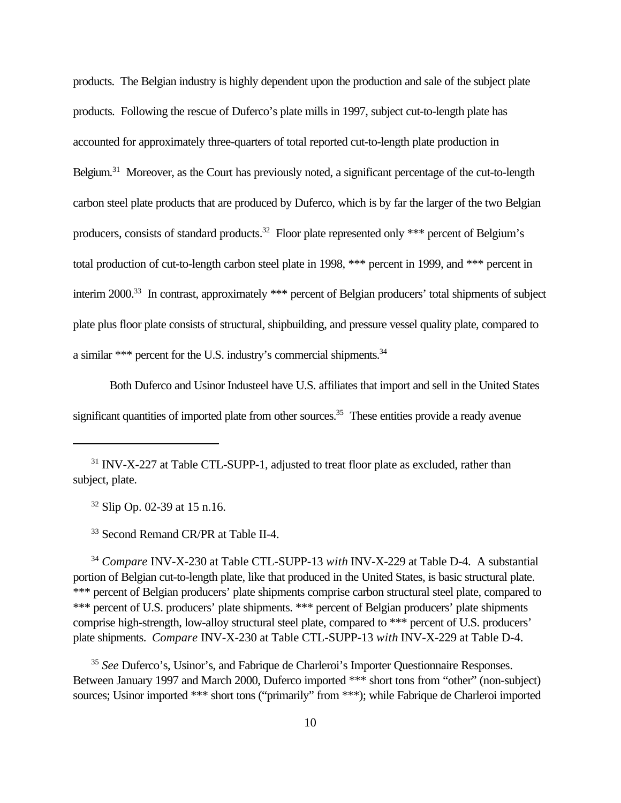products. The Belgian industry is highly dependent upon the production and sale of the subject plate products. Following the rescue of Duferco's plate mills in 1997, subject cut-to-length plate has accounted for approximately three-quarters of total reported cut-to-length plate production in Belgium.<sup>31</sup> Moreover, as the Court has previously noted, a significant percentage of the cut-to-length carbon steel plate products that are produced by Duferco, which is by far the larger of the two Belgian producers, consists of standard products.<sup>32</sup> Floor plate represented only \*\*\* percent of Belgium's total production of cut-to-length carbon steel plate in 1998, \*\*\* percent in 1999, and \*\*\* percent in interim 2000.<sup>33</sup> In contrast, approximately \*\*\* percent of Belgian producers' total shipments of subject plate plus floor plate consists of structural, shipbuilding, and pressure vessel quality plate, compared to a similar \*\*\* percent for the U.S. industry's commercial shipments. $34$ 

Both Duferco and Usinor Industeel have U.S. affiliates that import and sell in the United States significant quantities of imported plate from other sources.<sup>35</sup> These entities provide a ready avenue

<sup>32</sup> Slip Op. 02-39 at 15 n.16.

<sup>33</sup> Second Remand CR/PR at Table II-4.

<sup>34</sup> *Compare* INV-X-230 at Table CTL-SUPP-13 *with* INV-X-229 at Table D-4. A substantial portion of Belgian cut-to-length plate, like that produced in the United States, is basic structural plate. \*\*\* percent of Belgian producers' plate shipments comprise carbon structural steel plate, compared to \*\*\* percent of U.S. producers' plate shipments. \*\*\* percent of Belgian producers' plate shipments comprise high-strength, low-alloy structural steel plate, compared to \*\*\* percent of U.S. producers' plate shipments. *Compare* INV-X-230 at Table CTL-SUPP-13 *with* INV-X-229 at Table D-4.

<sup>35</sup> *See* Duferco's, Usinor's, and Fabrique de Charleroi's Importer Questionnaire Responses. Between January 1997 and March 2000, Duferco imported \*\*\* short tons from "other" (non-subject) sources; Usinor imported \*\*\* short tons ("primarily" from \*\*\*); while Fabrique de Charleroi imported

<sup>&</sup>lt;sup>31</sup> INV-X-227 at Table CTL-SUPP-1, adjusted to treat floor plate as excluded, rather than subject, plate.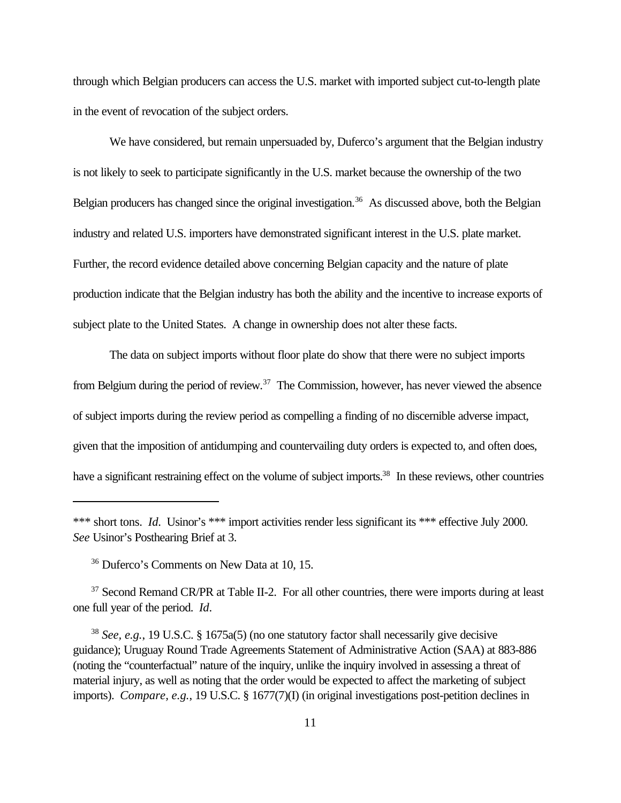through which Belgian producers can access the U.S. market with imported subject cut-to-length plate in the event of revocation of the subject orders.

We have considered, but remain unpersuaded by, Duferco's argument that the Belgian industry is not likely to seek to participate significantly in the U.S. market because the ownership of the two Belgian producers has changed since the original investigation.<sup>36</sup> As discussed above, both the Belgian industry and related U.S. importers have demonstrated significant interest in the U.S. plate market. Further, the record evidence detailed above concerning Belgian capacity and the nature of plate production indicate that the Belgian industry has both the ability and the incentive to increase exports of subject plate to the United States. A change in ownership does not alter these facts.

The data on subject imports without floor plate do show that there were no subject imports from Belgium during the period of review.<sup>37</sup> The Commission, however, has never viewed the absence of subject imports during the review period as compelling a finding of no discernible adverse impact, given that the imposition of antidumping and countervailing duty orders is expected to, and often does, have a significant restraining effect on the volume of subject imports.<sup>38</sup> In these reviews, other countries

<sup>\*\*\*</sup> short tons. *Id.* Usinor's \*\*\* import activities render less significant its \*\*\* effective July 2000. *See* Usinor's Posthearing Brief at 3.

<sup>36</sup> Duferco's Comments on New Data at 10, 15.

<sup>&</sup>lt;sup>37</sup> Second Remand CR/PR at Table II-2. For all other countries, there were imports during at least one full year of the period. *Id*.

<sup>38</sup> *See, e.g.*, 19 U.S.C. § 1675a(5) (no one statutory factor shall necessarily give decisive guidance); Uruguay Round Trade Agreements Statement of Administrative Action (SAA) at 883-886 (noting the "counterfactual" nature of the inquiry, unlike the inquiry involved in assessing a threat of material injury, as well as noting that the order would be expected to affect the marketing of subject imports). *Compare, e.g.*, 19 U.S.C. § 1677(7)(I) (in original investigations post-petition declines in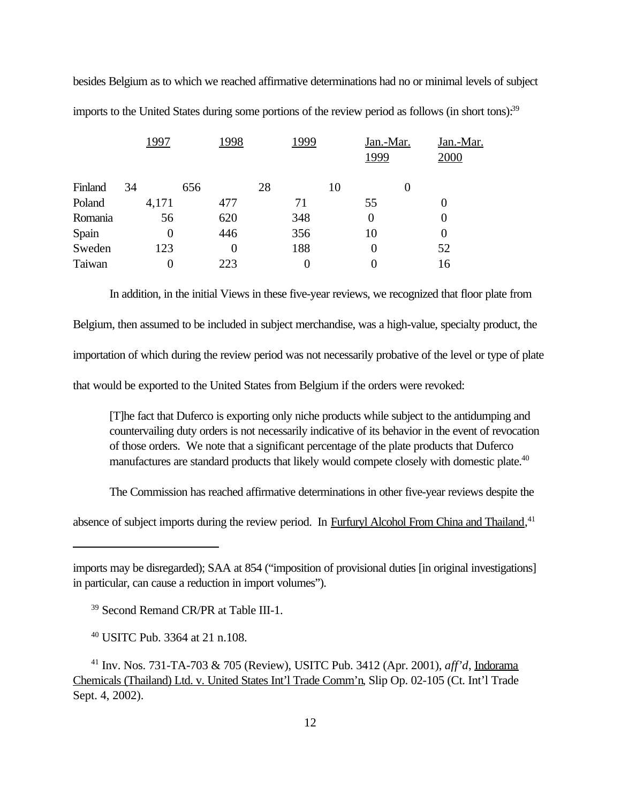besides Belgium as to which we reached affirmative determinations had no or minimal levels of subject imports to the United States during some portions of the review period as follows (in short tons):<sup>39</sup>

| 1997     |          |     |          | 2000     | Jan.-Mar.         |
|----------|----------|-----|----------|----------|-------------------|
| 34       | 656      | 28  | 10       |          |                   |
| 4,171    | 477      | 71  | 55       | $\theta$ |                   |
| 56       | 620      | 348 | $\theta$ | $\theta$ |                   |
| $\theta$ | 446      | 356 | 10       | $\theta$ |                   |
| 123      | $\theta$ | 188 | 0        | 52       |                   |
|          | 223      | 0   | $\theta$ | 16       |                   |
|          |          |     | 1998     | 1999     | Jan.-Mar.<br>1999 |

In addition, in the initial Views in these five-year reviews, we recognized that floor plate from Belgium, then assumed to be included in subject merchandise, was a high-value, specialty product, the importation of which during the review period was not necessarily probative of the level or type of plate that would be exported to the United States from Belgium if the orders were revoked:

[T]he fact that Duferco is exporting only niche products while subject to the antidumping and countervailing duty orders is not necessarily indicative of its behavior in the event of revocation of those orders. We note that a significant percentage of the plate products that Duferco manufactures are standard products that likely would compete closely with domestic plate.<sup>40</sup>

The Commission has reached affirmative determinations in other five-year reviews despite the

absence of subject imports during the review period. In Furfuryl Alcohol From China and Thailand,<sup>41</sup>

imports may be disregarded); SAA at 854 ("imposition of provisional duties [in original investigations] in particular, can cause a reduction in import volumes").

<sup>39</sup> Second Remand CR/PR at Table III-1.

<sup>40</sup> USITC Pub. 3364 at 21 n.108.

<sup>41</sup> Inv. Nos. 731-TA-703 & 705 (Review), USITC Pub. 3412 (Apr. 2001), *aff'd*, Indorama Chemicals (Thailand) Ltd. v. United States Int'l Trade Comm'n, Slip Op. 02-105 (Ct. Int'l Trade Sept. 4, 2002).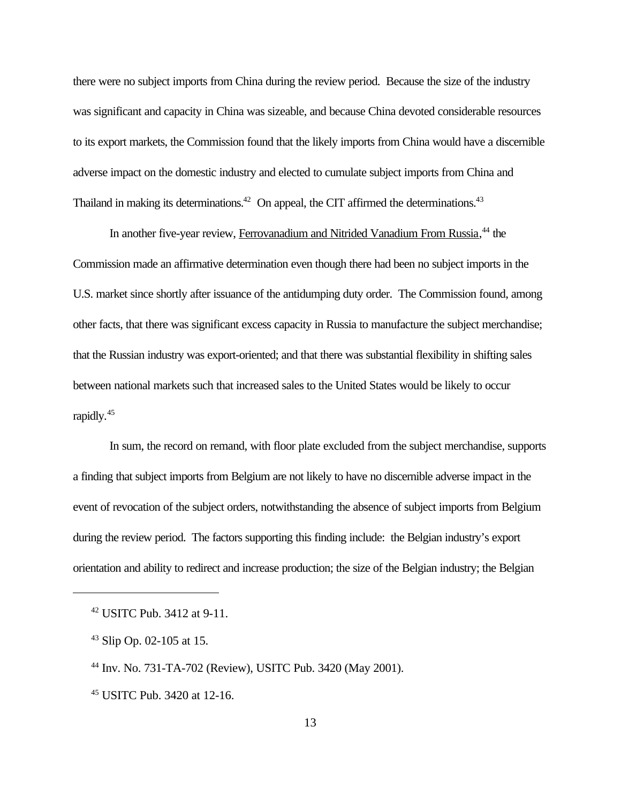there were no subject imports from China during the review period. Because the size of the industry was significant and capacity in China was sizeable, and because China devoted considerable resources to its export markets, the Commission found that the likely imports from China would have a discernible adverse impact on the domestic industry and elected to cumulate subject imports from China and Thailand in making its determinations.<sup>42</sup> On appeal, the CIT affirmed the determinations.<sup>43</sup>

In another five-year review, Ferrovanadium and Nitrided Vanadium From Russia,<sup>44</sup> the Commission made an affirmative determination even though there had been no subject imports in the U.S. market since shortly after issuance of the antidumping duty order. The Commission found, among other facts, that there was significant excess capacity in Russia to manufacture the subject merchandise; that the Russian industry was export-oriented; and that there was substantial flexibility in shifting sales between national markets such that increased sales to the United States would be likely to occur rapidly.<sup>45</sup>

In sum, the record on remand, with floor plate excluded from the subject merchandise, supports a finding that subject imports from Belgium are not likely to have no discernible adverse impact in the event of revocation of the subject orders, notwithstanding the absence of subject imports from Belgium during the review period. The factors supporting this finding include: the Belgian industry's export orientation and ability to redirect and increase production; the size of the Belgian industry; the Belgian

<sup>42</sup> USITC Pub. 3412 at 9-11.

 $43$  Slip Op. 02-105 at 15.

<sup>44</sup> Inv. No. 731-TA-702 (Review), USITC Pub. 3420 (May 2001).

<sup>45</sup> USITC Pub. 3420 at 12-16.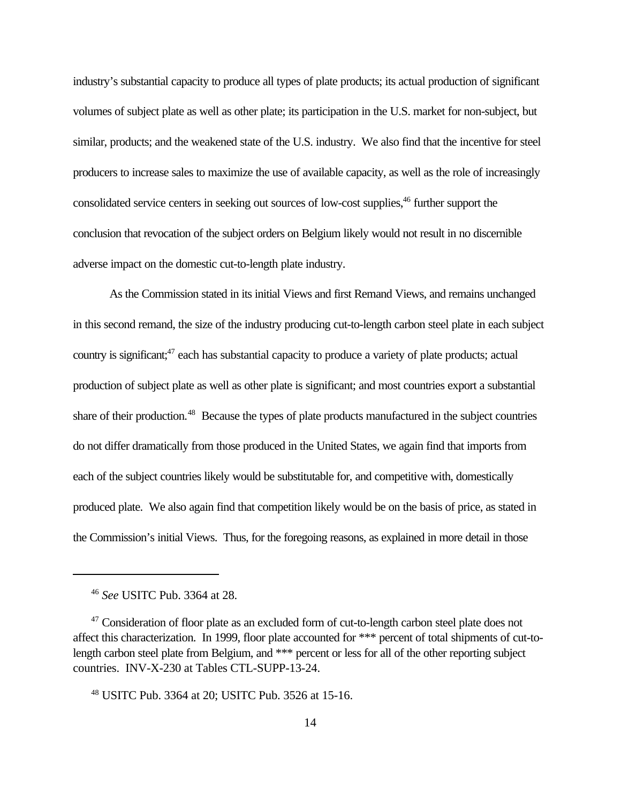industry's substantial capacity to produce all types of plate products; its actual production of significant volumes of subject plate as well as other plate; its participation in the U.S. market for non-subject, but similar, products; and the weakened state of the U.S. industry. We also find that the incentive for steel producers to increase sales to maximize the use of available capacity, as well as the role of increasingly consolidated service centers in seeking out sources of low-cost supplies,<sup>46</sup> further support the conclusion that revocation of the subject orders on Belgium likely would not result in no discernible adverse impact on the domestic cut-to-length plate industry.

As the Commission stated in its initial Views and first Remand Views, and remains unchanged in this second remand, the size of the industry producing cut-to-length carbon steel plate in each subject country is significant;<sup>47</sup> each has substantial capacity to produce a variety of plate products; actual production of subject plate as well as other plate is significant; and most countries export a substantial share of their production.<sup>48</sup> Because the types of plate products manufactured in the subject countries do not differ dramatically from those produced in the United States, we again find that imports from each of the subject countries likely would be substitutable for, and competitive with, domestically produced plate. We also again find that competition likely would be on the basis of price, as stated in the Commission's initial Views. Thus, for the foregoing reasons, as explained in more detail in those

<sup>46</sup> *See* USITC Pub. 3364 at 28.

<sup>&</sup>lt;sup>47</sup> Consideration of floor plate as an excluded form of cut-to-length carbon steel plate does not affect this characterization. In 1999, floor plate accounted for \*\*\* percent of total shipments of cut-tolength carbon steel plate from Belgium, and \*\*\* percent or less for all of the other reporting subject countries. INV-X-230 at Tables CTL-SUPP-13-24.

<sup>48</sup> USITC Pub. 3364 at 20; USITC Pub. 3526 at 15-16.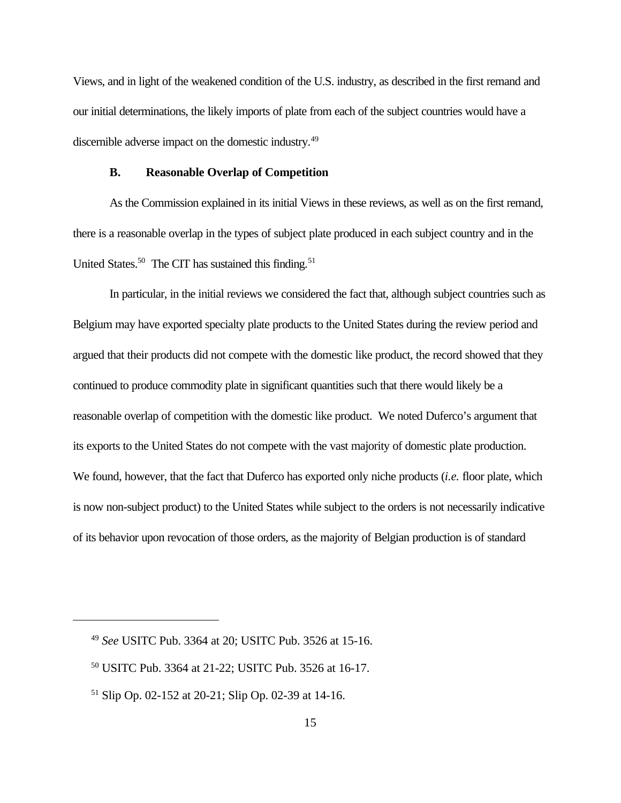Views, and in light of the weakened condition of the U.S. industry, as described in the first remand and our initial determinations, the likely imports of plate from each of the subject countries would have a discernible adverse impact on the domestic industry.<sup>49</sup>

#### **B. Reasonable Overlap of Competition**

As the Commission explained in its initial Views in these reviews, as well as on the first remand, there is a reasonable overlap in the types of subject plate produced in each subject country and in the United States.<sup>50</sup> The CIT has sustained this finding.<sup>51</sup>

In particular, in the initial reviews we considered the fact that, although subject countries such as Belgium may have exported specialty plate products to the United States during the review period and argued that their products did not compete with the domestic like product, the record showed that they continued to produce commodity plate in significant quantities such that there would likely be a reasonable overlap of competition with the domestic like product. We noted Duferco's argument that its exports to the United States do not compete with the vast majority of domestic plate production. We found, however, that the fact that Duferco has exported only niche products (*i.e.* floor plate, which is now non-subject product) to the United States while subject to the orders is not necessarily indicative of its behavior upon revocation of those orders, as the majority of Belgian production is of standard

<sup>49</sup> *See* USITC Pub. 3364 at 20; USITC Pub. 3526 at 15-16.

<sup>50</sup> USITC Pub. 3364 at 21-22; USITC Pub. 3526 at 16-17.

<sup>51</sup> Slip Op. 02-152 at 20-21; Slip Op. 02-39 at 14-16.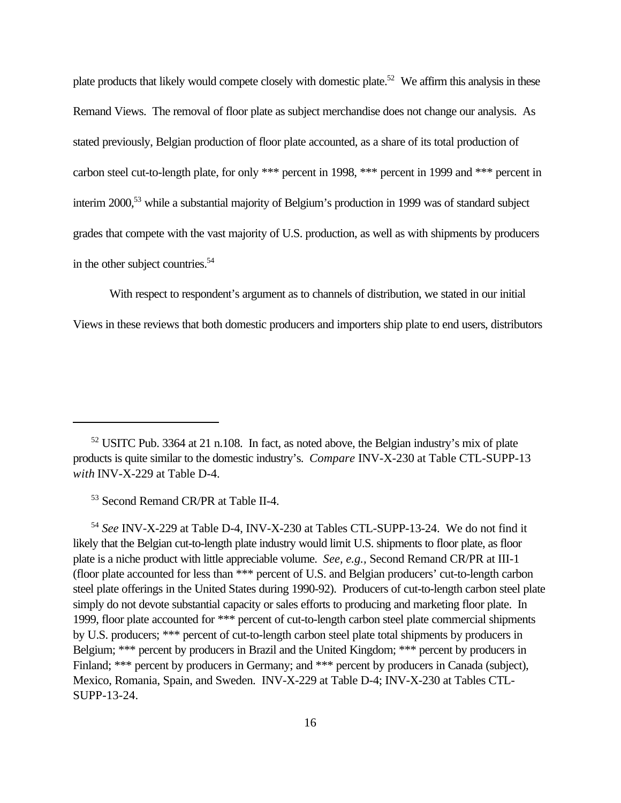plate products that likely would compete closely with domestic plate.<sup>52</sup> We affirm this analysis in these Remand Views. The removal of floor plate as subject merchandise does not change our analysis. As stated previously, Belgian production of floor plate accounted, as a share of its total production of carbon steel cut-to-length plate, for only \*\*\* percent in 1998, \*\*\* percent in 1999 and \*\*\* percent in interim 2000,<sup>53</sup> while a substantial majority of Belgium's production in 1999 was of standard subject grades that compete with the vast majority of U.S. production, as well as with shipments by producers in the other subject countries.<sup>54</sup>

With respect to respondent's argument as to channels of distribution, we stated in our initial Views in these reviews that both domestic producers and importers ship plate to end users, distributors

<sup>53</sup> Second Remand CR/PR at Table II-4.

<sup>54</sup> *See* INV-X-229 at Table D-4, INV-X-230 at Tables CTL-SUPP-13-24. We do not find it likely that the Belgian cut-to-length plate industry would limit U.S. shipments to floor plate, as floor plate is a niche product with little appreciable volume. *See, e.g.,* Second Remand CR/PR at III-1 (floor plate accounted for less than \*\*\* percent of U.S. and Belgian producers' cut-to-length carbon steel plate offerings in the United States during 1990-92). Producers of cut-to-length carbon steel plate simply do not devote substantial capacity or sales efforts to producing and marketing floor plate. In 1999, floor plate accounted for \*\*\* percent of cut-to-length carbon steel plate commercial shipments by U.S. producers; \*\*\* percent of cut-to-length carbon steel plate total shipments by producers in Belgium; \*\*\* percent by producers in Brazil and the United Kingdom; \*\*\* percent by producers in Finland; \*\*\* percent by producers in Germany; and \*\*\* percent by producers in Canada (subject), Mexico, Romania, Spain, and Sweden. INV-X-229 at Table D-4; INV-X-230 at Tables CTL-SUPP-13-24.

<sup>52</sup> USITC Pub. 3364 at 21 n.108. In fact, as noted above, the Belgian industry's mix of plate products is quite similar to the domestic industry's. *Compare* INV-X-230 at Table CTL-SUPP-13 *with* INV-X-229 at Table D-4.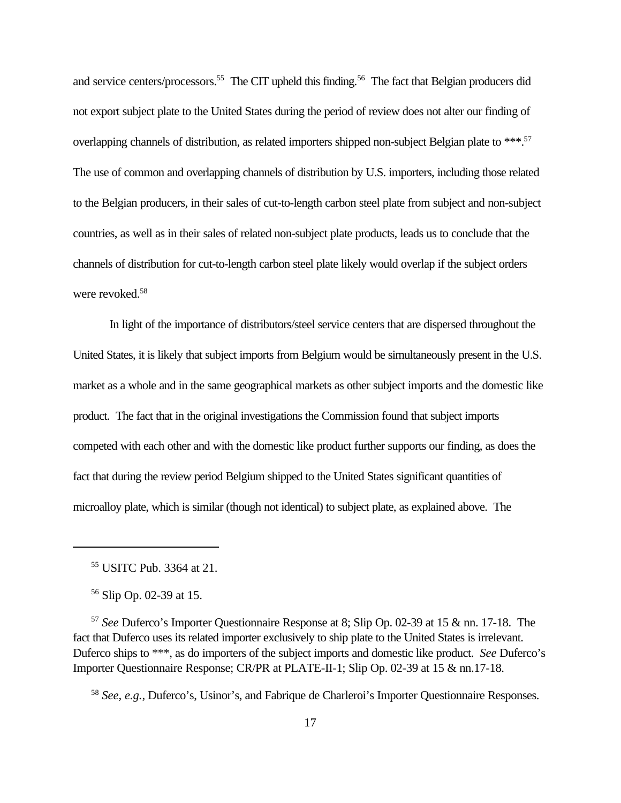and service centers/processors.<sup>55</sup> The CIT upheld this finding.<sup>56</sup> The fact that Belgian producers did not export subject plate to the United States during the period of review does not alter our finding of overlapping channels of distribution, as related importers shipped non-subject Belgian plate to \*\*\*.<sup>57</sup> The use of common and overlapping channels of distribution by U.S. importers, including those related to the Belgian producers, in their sales of cut-to-length carbon steel plate from subject and non-subject countries, as well as in their sales of related non-subject plate products, leads us to conclude that the channels of distribution for cut-to-length carbon steel plate likely would overlap if the subject orders were revoked.<sup>58</sup>

In light of the importance of distributors/steel service centers that are dispersed throughout the United States, it is likely that subject imports from Belgium would be simultaneously present in the U.S. market as a whole and in the same geographical markets as other subject imports and the domestic like product. The fact that in the original investigations the Commission found that subject imports competed with each other and with the domestic like product further supports our finding, as does the fact that during the review period Belgium shipped to the United States significant quantities of microalloy plate, which is similar (though not identical) to subject plate, as explained above. The

<sup>57</sup> *See* Duferco's Importer Questionnaire Response at 8; Slip Op. 02-39 at 15 & nn. 17-18. The fact that Duferco uses its related importer exclusively to ship plate to the United States is irrelevant. Duferco ships to \*\*\*, as do importers of the subject imports and domestic like product. *See* Duferco's Importer Questionnaire Response; CR/PR at PLATE-II-1; Slip Op. 02-39 at 15 & nn.17-18.

<sup>58</sup> *See, e.g.*, Duferco's, Usinor's, and Fabrique de Charleroi's Importer Questionnaire Responses.

<sup>55</sup> USITC Pub. 3364 at 21.

<sup>56</sup> Slip Op. 02-39 at 15.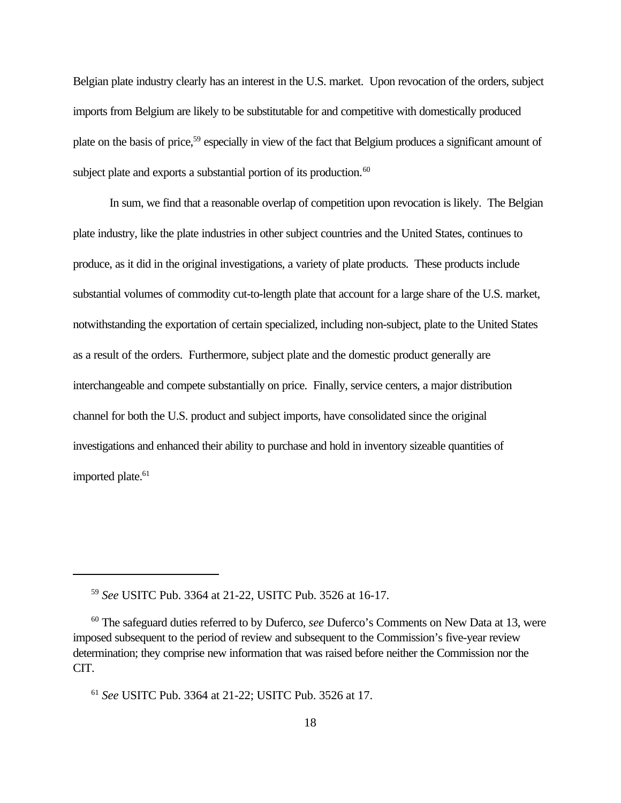Belgian plate industry clearly has an interest in the U.S. market. Upon revocation of the orders, subject imports from Belgium are likely to be substitutable for and competitive with domestically produced plate on the basis of price,<sup>59</sup> especially in view of the fact that Belgium produces a significant amount of subject plate and exports a substantial portion of its production.<sup>60</sup>

In sum, we find that a reasonable overlap of competition upon revocation is likely. The Belgian plate industry, like the plate industries in other subject countries and the United States, continues to produce, as it did in the original investigations, a variety of plate products. These products include substantial volumes of commodity cut-to-length plate that account for a large share of the U.S. market, notwithstanding the exportation of certain specialized, including non-subject, plate to the United States as a result of the orders. Furthermore, subject plate and the domestic product generally are interchangeable and compete substantially on price. Finally, service centers, a major distribution channel for both the U.S. product and subject imports, have consolidated since the original investigations and enhanced their ability to purchase and hold in inventory sizeable quantities of imported plate.<sup>61</sup>

<sup>59</sup> *See* USITC Pub. 3364 at 21-22, USITC Pub. 3526 at 16-17.

<sup>60</sup> The safeguard duties referred to by Duferco, *see* Duferco's Comments on New Data at 13, were imposed subsequent to the period of review and subsequent to the Commission's five-year review determination; they comprise new information that was raised before neither the Commission nor the CIT.

<sup>61</sup> *See* USITC Pub. 3364 at 21-22; USITC Pub. 3526 at 17.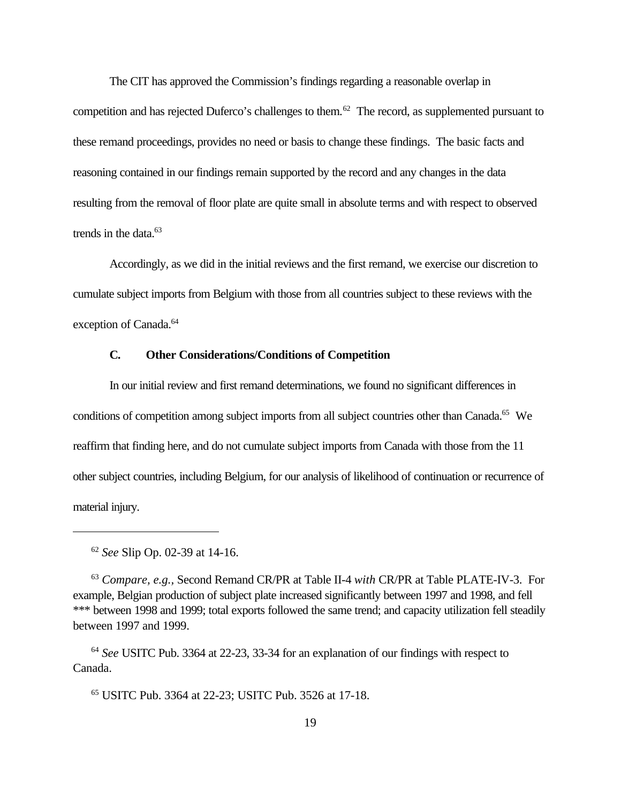The CIT has approved the Commission's findings regarding a reasonable overlap in competition and has rejected Duferco's challenges to them.<sup>62</sup> The record, as supplemented pursuant to these remand proceedings, provides no need or basis to change these findings. The basic facts and reasoning contained in our findings remain supported by the record and any changes in the data resulting from the removal of floor plate are quite small in absolute terms and with respect to observed trends in the data. $63$ 

Accordingly, as we did in the initial reviews and the first remand, we exercise our discretion to cumulate subject imports from Belgium with those from all countries subject to these reviews with the exception of Canada.<sup>64</sup>

#### **C. Other Considerations/Conditions of Competition**

In our initial review and first remand determinations, we found no significant differences in conditions of competition among subject imports from all subject countries other than Canada.<sup>65</sup> We reaffirm that finding here, and do not cumulate subject imports from Canada with those from the 11 other subject countries, including Belgium, for our analysis of likelihood of continuation or recurrence of material injury.

<sup>64</sup> *See* USITC Pub. 3364 at 22-23, 33-34 for an explanation of our findings with respect to Canada.

<sup>65</sup> USITC Pub. 3364 at 22-23; USITC Pub. 3526 at 17-18.

<sup>62</sup> *See* Slip Op. 02-39 at 14-16.

<sup>63</sup> *Compare, e.g.,* Second Remand CR/PR at Table II-4 *with* CR/PR at Table PLATE-IV-3. For example, Belgian production of subject plate increased significantly between 1997 and 1998, and fell \*\*\* between 1998 and 1999; total exports followed the same trend; and capacity utilization fell steadily between 1997 and 1999.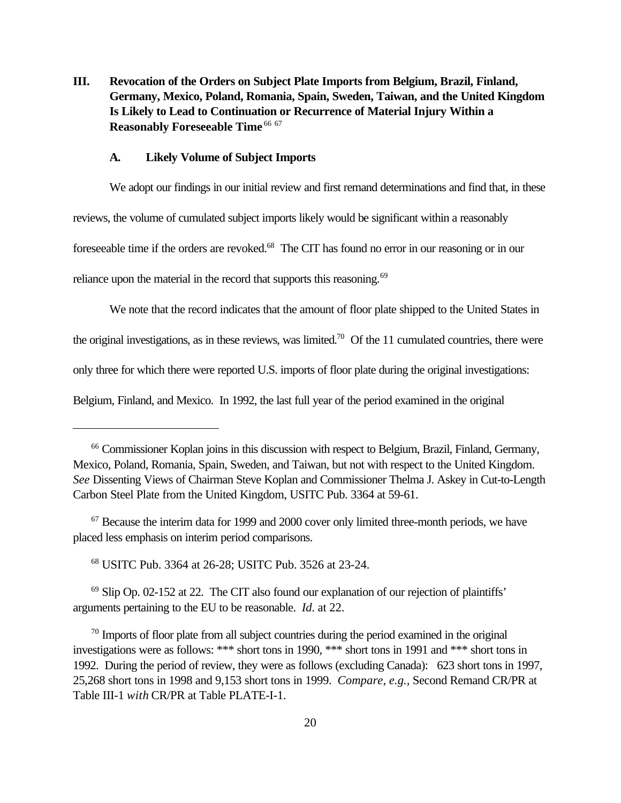**III. Revocation of the Orders on Subject Plate Imports from Belgium, Brazil, Finland, Germany, Mexico, Poland, Romania, Spain, Sweden, Taiwan, and the United Kingdom Is Likely to Lead to Continuation or Recurrence of Material Injury Within a Reasonably Foreseeable Time** <sup>66 67</sup>

#### **A. Likely Volume of Subject Imports**

We adopt our findings in our initial review and first remand determinations and find that, in these reviews, the volume of cumulated subject imports likely would be significant within a reasonably foreseeable time if the orders are revoked.<sup>68</sup> The CIT has found no error in our reasoning or in our reliance upon the material in the record that supports this reasoning.<sup>69</sup>

We note that the record indicates that the amount of floor plate shipped to the United States in the original investigations, as in these reviews, was limited.<sup>70</sup> Of the 11 cumulated countries, there were only three for which there were reported U.S. imports of floor plate during the original investigations:

Belgium, Finland, and Mexico. In 1992, the last full year of the period examined in the original

 $67$  Because the interim data for 1999 and 2000 cover only limited three-month periods, we have placed less emphasis on interim period comparisons.

<sup>68</sup> USITC Pub. 3364 at 26-28; USITC Pub. 3526 at 23-24.

 $69$  Slip Op. 02-152 at 22. The CIT also found our explanation of our rejection of plaintiffs' arguments pertaining to the EU to be reasonable. *Id*. at 22.

 $70$  Imports of floor plate from all subject countries during the period examined in the original investigations were as follows: \*\*\* short tons in 1990, \*\*\* short tons in 1991 and \*\*\* short tons in 1992. During the period of review, they were as follows (excluding Canada): 623 short tons in 1997, 25,268 short tons in 1998 and 9,153 short tons in 1999. *Compare, e.g.*, Second Remand CR/PR at Table III-1 *with* CR/PR at Table PLATE-I-1.

<sup>66</sup> Commissioner Koplan joins in this discussion with respect to Belgium, Brazil, Finland, Germany, Mexico, Poland, Romania, Spain, Sweden, and Taiwan, but not with respect to the United Kingdom. *See* Dissenting Views of Chairman Steve Koplan and Commissioner Thelma J. Askey in Cut-to-Length Carbon Steel Plate from the United Kingdom, USITC Pub. 3364 at 59-61.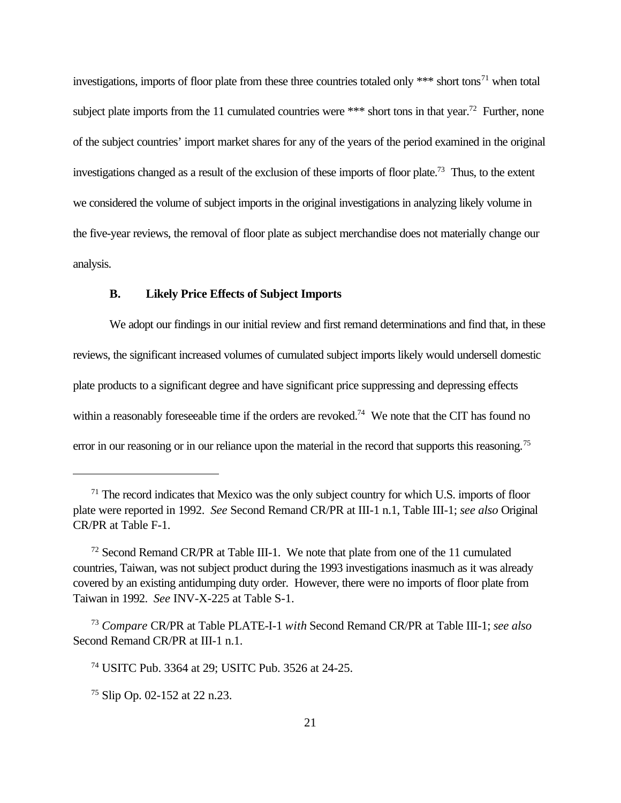investigations, imports of floor plate from these three countries totaled only  $***$  short tons<sup>71</sup> when total subject plate imports from the 11 cumulated countries were \*\*\* short tons in that year.<sup>72</sup> Further, none of the subject countries' import market shares for any of the years of the period examined in the original investigations changed as a result of the exclusion of these imports of floor plate.<sup>73</sup> Thus, to the extent we considered the volume of subject imports in the original investigations in analyzing likely volume in the five-year reviews, the removal of floor plate as subject merchandise does not materially change our analysis.

#### **B. Likely Price Effects of Subject Imports**

We adopt our findings in our initial review and first remand determinations and find that, in these reviews, the significant increased volumes of cumulated subject imports likely would undersell domestic plate products to a significant degree and have significant price suppressing and depressing effects within a reasonably foreseeable time if the orders are revoked.<sup>74</sup> We note that the CIT has found no error in our reasoning or in our reliance upon the material in the record that supports this reasoning.<sup>75</sup>

 $71$  The record indicates that Mexico was the only subject country for which U.S. imports of floor plate were reported in 1992. *See* Second Remand CR/PR at III-1 n.1, Table III-1; *see also* Original CR/PR at Table F-1.

 $72$  Second Remand CR/PR at Table III-1. We note that plate from one of the 11 cumulated countries, Taiwan, was not subject product during the 1993 investigations inasmuch as it was already covered by an existing antidumping duty order. However, there were no imports of floor plate from Taiwan in 1992. *See* INV-X-225 at Table S-1.

<sup>73</sup> *Compare* CR/PR at Table PLATE-I-1 *with* Second Remand CR/PR at Table III-1; *see also* Second Remand CR/PR at III-1 n.1.

<sup>74</sup> USITC Pub. 3364 at 29; USITC Pub. 3526 at 24-25.

<sup>75</sup> Slip Op. 02-152 at 22 n.23.